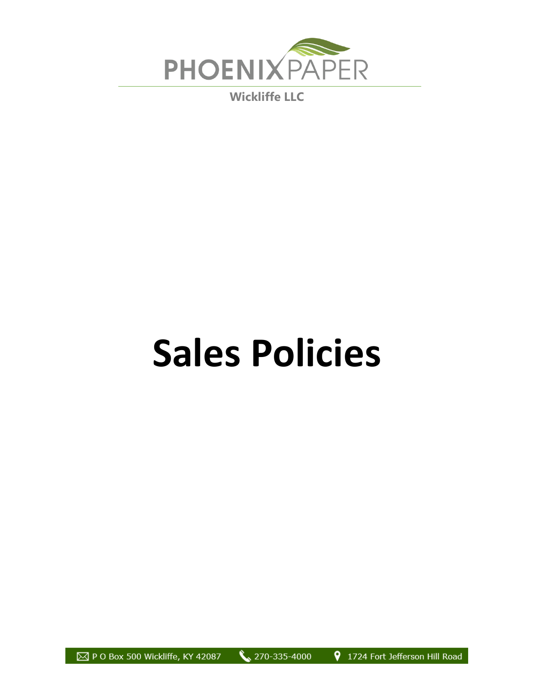

**Wickliffe LLC**

## **Sales Policies**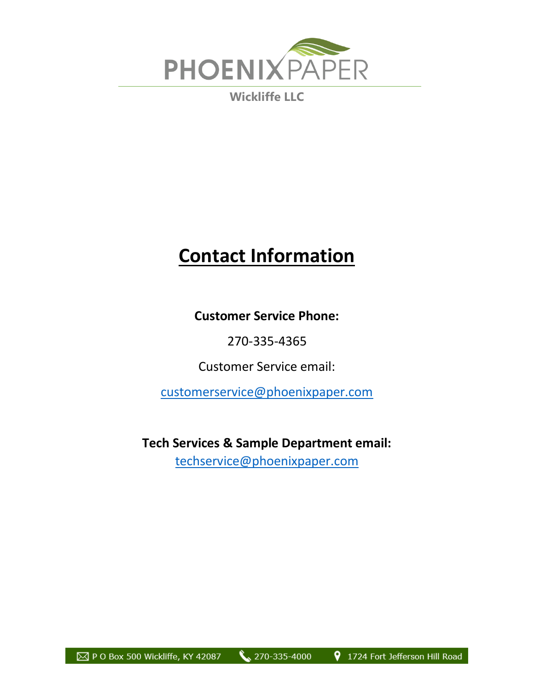

**Wickliffe LLC**

## **Contact Information**

**Customer Service Phone:** 

270-335-4365

Customer Service email:

[customerservice@phoenixpaper.com](mailto:customerservice@phoenixpaper.com)

**Tech Services & Sample Department email:**  [techservice@phoenixpaper.com](mailto:techservice@phoenixpaper.com)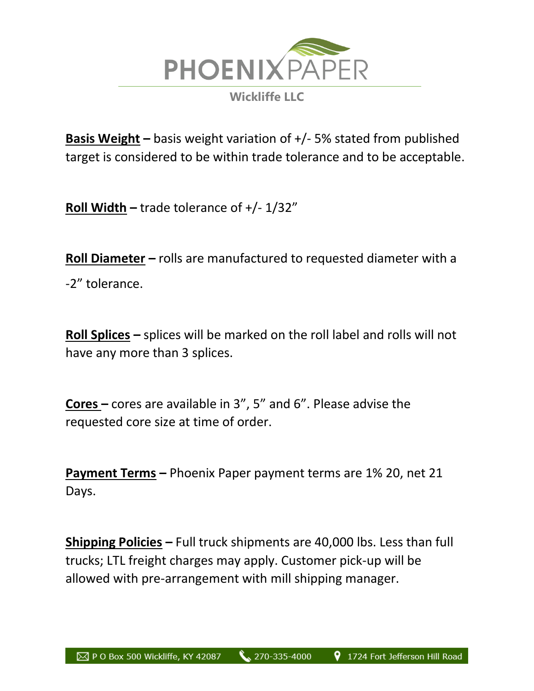

**Basis Weight –** basis weight variation of +/- 5% stated from published target is considered to be within trade tolerance and to be acceptable.

**Roll Width –** trade tolerance of +/- 1/32"

**Roll Diameter –** rolls are manufactured to requested diameter with a -2" tolerance.

**Roll Splices –** splices will be marked on the roll label and rolls will not have any more than 3 splices.

**Cores –** cores are available in 3", 5" and 6". Please advise the requested core size at time of order.

**Payment Terms –** Phoenix Paper payment terms are 1% 20, net 21 Days.

**Shipping Policies –** Full truck shipments are 40,000 lbs. Less than full trucks; LTL freight charges may apply. Customer pick-up will be allowed with pre-arrangement with mill shipping manager.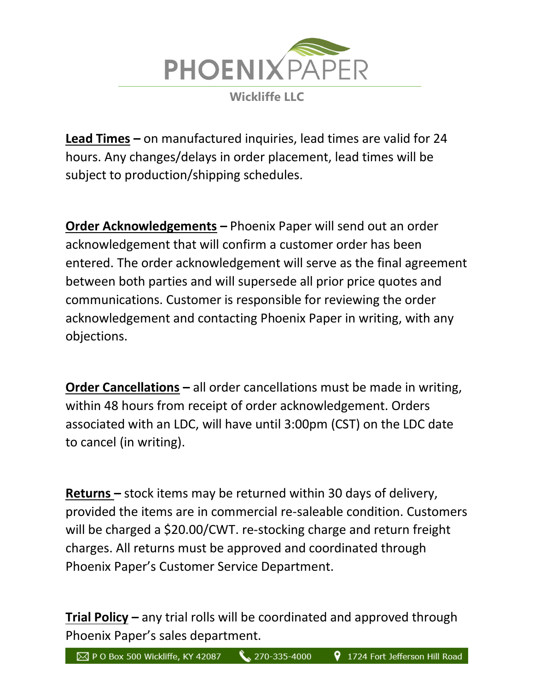

**Lead Times –** on manufactured inquiries, lead times are valid for 24 hours. Any changes/delays in order placement, lead times will be subject to production/shipping schedules.

**Order Acknowledgements –** Phoenix Paper will send out an order acknowledgement that will confirm a customer order has been entered. The order acknowledgement will serve as the final agreement between both parties and will supersede all prior price quotes and communications. Customer is responsible for reviewing the order acknowledgement and contacting Phoenix Paper in writing, with any objections.

**Order Cancellations –** all order cancellations must be made in writing, within 48 hours from receipt of order acknowledgement. Orders associated with an LDC, will have until 3:00pm (CST) on the LDC date to cancel (in writing).

**Returns –** stock items may be returned within 30 days of delivery, provided the items are in commercial re-saleable condition. Customers will be charged a \$20.00/CWT. re-stocking charge and return freight charges. All returns must be approved and coordinated through Phoenix Paper's Customer Service Department.

**Trial Policy –** any trial rolls will be coordinated and approved through Phoenix Paper's sales department.